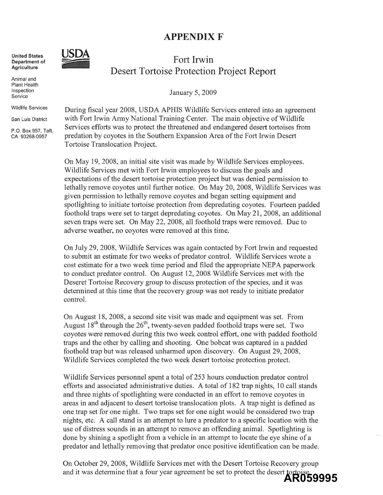## **APPENDIXF**



**Animal and Plant Health Inspection Service** 

**Agriculture** 

**United States** 

**Wildlife Services** 

**San Luis District** 

P.O. Box 957, Taft, CA 93268-0957

## Fort **Irwin**  Desert Tortoise Protection Project Report

January 5, 2009

During fiscal year 2008, USDA APHIS Wildlife Services entered into an agreement with Fort Irwin Army National Training Center. The main objective of Wildlife Services efforts was to protect the threatened and endangered desert tortoises from predation by coyotes in the Southern Expansion Area of the Fort Irwin Desert Tortoise Translocation Project.

On May 19, 2008, an initial site visit was made by Wildlife Services employees. Wildlife Services met with Fort Irwin employees to discuss the goals and expectations of the desert tortoise protection project but was denied permission to lethally remove coyotes until further notice. On May 20, 2008, Wildlife Services was given pennission to lethally remove coyotes and began setting equipment and spotlighting to initiate tortoise protection from depredating coyotes. Fourteen padded foothold traps were set to target depredating coyotes, On May 21, 2008, an additional seven traps were set. On May 22, 2008, all foothold traps were removed. Due to adverse weather, no coyotes were removed at this time,

On July 29, 2008, Wildlife Services was again contacted by Fort Irwin and requested to submit an estimate for two weeks of predator control. Wildlife Services wrote a cost estimate for a two week time period and filed the appropriate NEPA paperwork to conduct predator control. On August 12, 2008 Wildlife Services met with the Deseret Tortoise Recovery group to discuss protection of the species, and it was detennined at this time that the recovery group was not ready to initiate predator control.

On August 18,2008, a second site visit was made and equipment was set. From August  $18<sup>th</sup>$  through the  $26<sup>th</sup>$ , twenty-seven padded foothold traps were set. Two coyotes were removed during this two week control effort, one with padded foothold traps and the other by calling and shooting. One bobcat was captured in a padded foothold trap but was released unharmed upon discovery, On August 29, 2008, Wildlife Services completed the two week desert tortoise protection protect.

Wildlife Services personnel spent a total of 253 hours conduction predator control efforts and associated administrative duties. A total of 182 trap nights, 10 call stands and three nights of spotlighting were conducted in an effort to remove coyotes in areas in and adjacent to desert tortoise translocation plots. A trap night is defined as one trap set for one night. Two traps set for one night would be considered two trap nights, etc, A call stand is an attempt to lure a predator to a specific location with the use of distress sounds in an attempt to remove an offending animal. Spotlighting is done by shining a spotlight from a vehicle in an attempt to locate the eye shine of a predator and lethally removing that predator once positive identification can be made.

On October 29,2008, Wildlife Services met with the Desert Tortoise Recovery group and it was determine that a four year agreement be set to protect the desert tortoise **AR059995**